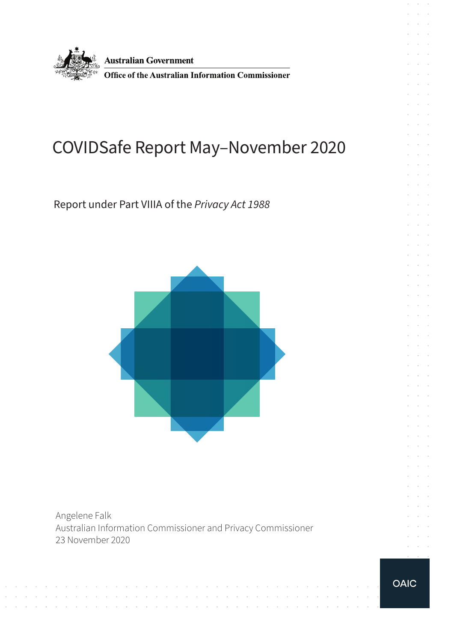

# COVIDSafe Report May–November 2020

Report under Part VIIIA of the *Privacy Act 1988*



Angelene Falk Australian Information Commissioner and Privacy Commissioner 23 November 2020

 $\sim$ 

 $\sim$ 

 $\sim$ 

 $\sim$ 

 $\mathcal{A}^{\mathcal{A}}$  and  $\mathcal{A}^{\mathcal{A}}$  and  $\mathcal{A}^{\mathcal{A}}$ 

. As a set of the set of the set of the set of the set of the set of the set of the set of the set of the set of the set of the set of the set of the set of the set of the set of the set of the set of the set of the set o

 $\sim$ 

 $\mathcal{A}^{\mathcal{A}}$  and  $\mathcal{A}^{\mathcal{A}}$  and  $\mathcal{A}^{\mathcal{A}}$ 

 $\mathcal{A}^{\mathcal{A}}$  and  $\mathcal{A}^{\mathcal{A}}$ 

 $\sim$ 

 $\sim$ 

 $\sim$ 

 $\sim$ 

 $\mathcal{A}^{\mathcal{A}}$  and  $\mathcal{A}^{\mathcal{A}}$  and  $\mathcal{A}^{\mathcal{A}}$ 

 $\sim$  $\sim$  $\sim$  $\sim$ 

and a state

 $\sim$ 

 $\mathcal{L}_{\mathcal{A}}$  $\sim$  $\sim$  $\bar{z}$  $\sim$  **OAIC**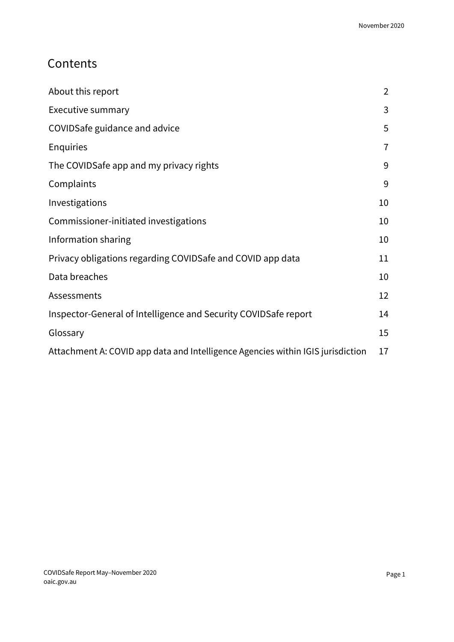### **Contents**

| About this report                                                               | $\overline{2}$ |
|---------------------------------------------------------------------------------|----------------|
| <b>Executive summary</b>                                                        | 3              |
| COVIDSafe guidance and advice                                                   | 5              |
| Enquiries                                                                       | $\overline{7}$ |
| The COVIDS afe app and my privacy rights                                        | 9              |
| Complaints                                                                      | 9              |
| Investigations                                                                  | 10             |
| Commissioner-initiated investigations                                           | 10             |
| Information sharing                                                             | 10             |
| Privacy obligations regarding COVIDSafe and COVID app data                      | 11             |
| Data breaches                                                                   | 10             |
| Assessments                                                                     | 12             |
| Inspector-General of Intelligence and Security COVIDS afe report                | 14             |
| Glossary                                                                        | 15             |
| Attachment A: COVID app data and Intelligence Agencies within IGIS jurisdiction | 17             |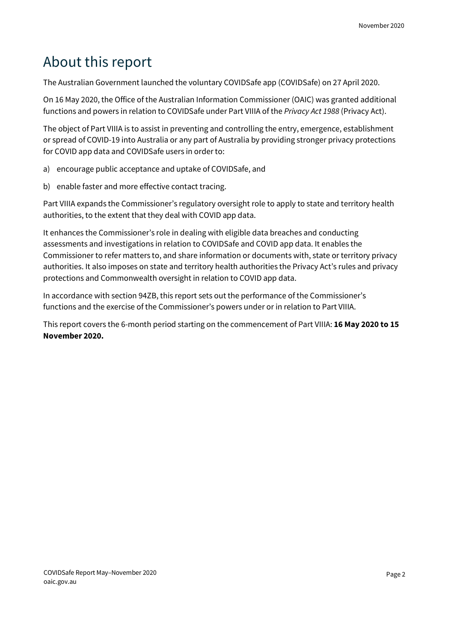# <span id="page-2-0"></span>About this report

The Australian Government launched the voluntary COVIDSafe app (COVIDSafe) on 27 April 2020.

On 16 May 2020, the Office of the Australian Information Commissioner (OAIC) was granted additional functions and powers in relation to COVIDSafe under Part VIIIA of the *Privacy Act 1988* (Privacy Act).

The object of Part VIIIA is to assist in preventing and controlling the entry, emergence, establishment or spread of COVID-19 into Australia or any part of Australia by providing stronger privacy protections for COVID app data and COVIDSafe users in order to:

- a) encourage public acceptance and uptake of COVIDSafe, and
- b) enable faster and more effective contact tracing.

Part VIIIA expands the Commissioner's regulatory oversight role to apply to state and territory health authorities, to the extent that they deal with COVID app data.

It enhances the Commissioner's role in dealing with eligible data breaches and conducting assessments and investigations in relation to COVIDSafe and COVID app data. It enables the Commissioner to refer matters to, and share information or documents with, state or territory privacy authorities. It also imposes on state and territory health authorities the Privacy Act's rules and privacy protections and Commonwealth oversight in relation to COVID app data.

In accordance with section 94ZB, this report sets out the performance of the Commissioner's functions and the exercise of the Commissioner's powers under or in relation to Part VIIIA.

This report covers the 6-month period starting on the commencement of Part VIIIA: **16 May 2020 to 15 November 2020.**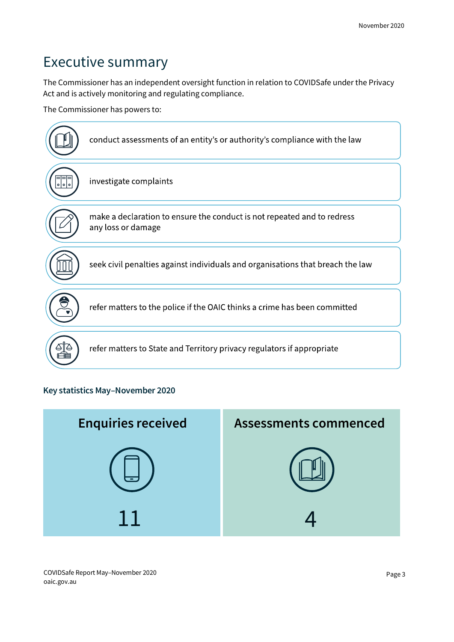### <span id="page-3-0"></span>Executive summary

The Commissioner has an independent oversight function in relation to COVIDSafe under the Privacy Act and is actively monitoring and regulating compliance.

The Commissioner has powers to:



#### **Key statistics May–November 2020**



COVIDSafe Report May–November 2020 Page 3 oaic.gov.au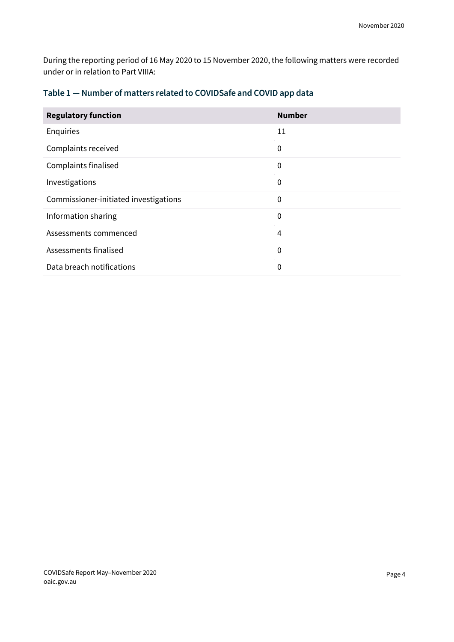During the reporting period of 16 May 2020 to 15 November 2020, the following matters were recorded under or in relation to Part VIIIA:

| <b>Regulatory function</b>            | <b>Number</b> |
|---------------------------------------|---------------|
| Enquiries                             | 11            |
| Complaints received                   | $\mathbf{0}$  |
| Complaints finalised                  | 0             |
| Investigations                        | $\mathbf{0}$  |
| Commissioner-initiated investigations | $\mathbf{0}$  |
| Information sharing                   | $\mathbf{0}$  |
| Assessments commenced                 | 4             |
| Assessments finalised                 | $\mathbf 0$   |
| Data breach notifications             | $\mathbf{0}$  |

### **Table 1 — Number of matters related to COVIDSafe and COVID app data**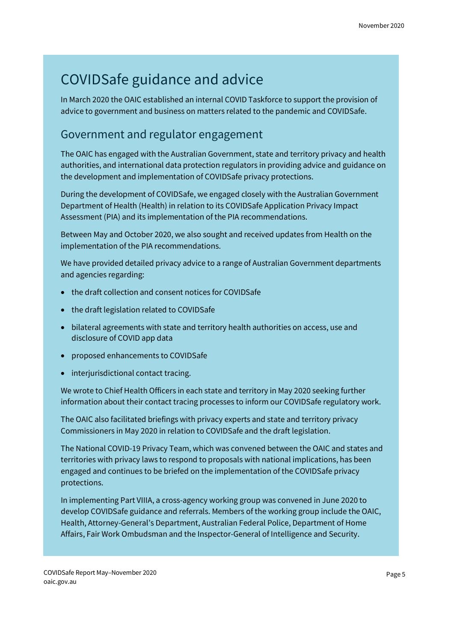# <span id="page-5-0"></span>COVIDSafe guidance and advice

In March 2020 the OAIC established an internal COVID Taskforce to support the provision of advice to government and business on matters related to the pandemic and COVIDSafe.

### Government and regulator engagement

The OAIC has engaged with the Australian Government, state and territory privacy and health authorities, and international data protection regulators in providing advice and guidance on the development and implementation of COVIDSafe privacy protections.

During the development of COVIDSafe, we engaged closely with the Australian Government Department of Health (Health) in relation to its COVIDSafe Application Privacy Impact Assessment (PIA) and its implementation of the PIA recommendations.

Between May and October 2020, we also sought and received updates from Health on the implementation of the PIA recommendations.

We have provided detailed privacy advice to a range of Australian Government departments and agencies regarding:

- the draft collection and consent notices for COVIDSafe
- the draft legislation related to COVIDSafe
- bilateral agreements with state and territory health authorities on access, use and disclosure of COVID app data
- proposed enhancements to COVIDSafe
- interjurisdictional contact tracing.

We wrote to Chief Health Officers in each state and territory in May 2020 seeking further information about their contact tracing processes to inform our COVIDSafe regulatory work.

The OAIC also facilitated briefings with privacy experts and state and territory privacy Commissioners in May 2020 in relation to COVIDSafe and the draft legislation.

The National COVID-19 Privacy Team, which was convened between the OAIC and states and territories with privacy laws to respond to proposals with national implications, has been engaged and continues to be briefed on the implementation of the COVIDSafe privacy protections.

In implementing Part VIIIA, a cross-agency working group was convened in June 2020 to develop COVIDSafe guidance and referrals. Members of the working group include the OAIC, Health, Attorney-General's Department, Australian Federal Police, Department of Home Affairs, Fair Work Ombudsman and the Inspector-General of Intelligence and Security.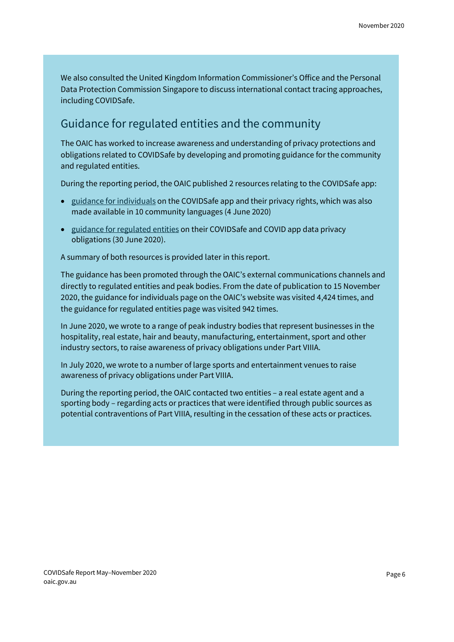We also consulted the United Kingdom Information Commissioner's Office and the Personal Data Protection Commission Singapore to discuss international contact tracing approaches, including COVIDSafe.

### Guidance for regulated entities and the community

The OAIC has worked to increase awareness and understanding of privacy protections and obligations related to COVIDSafe by developing and promoting guidance for the community and regulated entities.

During the reporting period, the OAIC published 2 resources relating to the COVIDSafe app:

- [guidance for individuals](#page-9-3) on the COVIDSafe app and their privacy rights, which was also made available in 10 community languages (4 June 2020)
- [guidance for regulated entities](#page-11-1) on their COVIDSafe and COVID app data privacy obligations (30 June 2020).

A summary of both resources is provided later in this report.

The guidance has been promoted through the OAIC's external communications channels and directly to regulated entities and peak bodies. From the date of publication to 15 November 2020, the guidance for individuals page on the OAIC's website was visited 4,424 times, and the guidance for regulated entities page was visited 942 times.

In June 2020, we wrote to a range of peak industry bodies that represent businesses in the hospitality, real estate, hair and beauty, manufacturing, entertainment, sport and other industry sectors, to raise awareness of privacy obligations under Part VIIIA.

In July 2020, we wrote to a number of large sports and entertainment venues to raise awareness of privacy obligations under Part VIIIA.

During the reporting period, the OAIC contacted two entities – a real estate agent and a sporting body – regarding acts or practices that were identified through public sources as potential contraventions of Part VIIIA, resulting in the cessation of these acts or practices.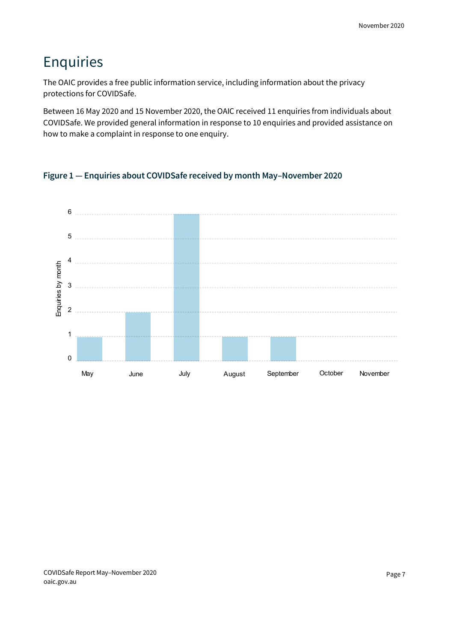## <span id="page-7-0"></span>Enquiries

The OAIC provides a free public information service, including information about the privacy protections for COVIDSafe.

Between 16 May 2020 and 15 November 2020, the OAIC received 11 enquiries from individuals about COVIDSafe. We provided general information in response to 10 enquiries and provided assistance on how to make a complaint in response to one enquiry.

### **Figure 1 — Enquiries about COVIDSafe received by month May–November 2020**

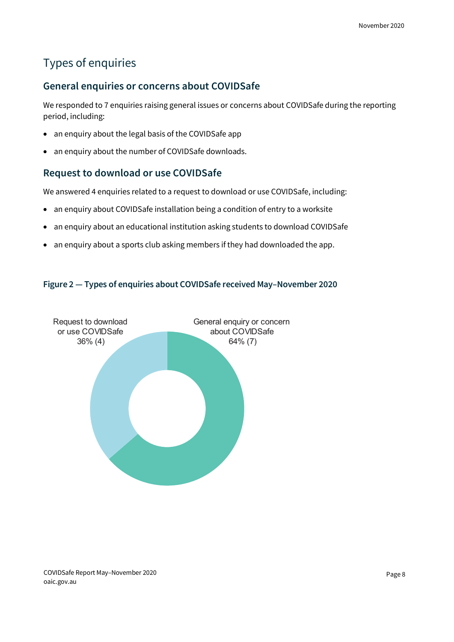### Types of enquiries

### **General enquiries or concerns about COVIDSafe**

We responded to 7 enquiries raising general issues or concerns about COVIDSafe during the reporting period, including:

- an enquiry about the legal basis of the COVIDSafe app
- an enquiry about the number of COVIDSafe downloads.

### **Request to download or use COVIDSafe**

We answered 4 enquiries related to a request to download or use COVIDSafe, including:

- an enquiry about COVIDSafe installation being a condition of entry to a worksite
- an enquiry about an educational institution asking students to download COVIDSafe
- an enquiry about a sports club asking members if they had downloaded the app.

#### **Figure 2 — Types of enquiries about COVIDSafe received May–November 2020**

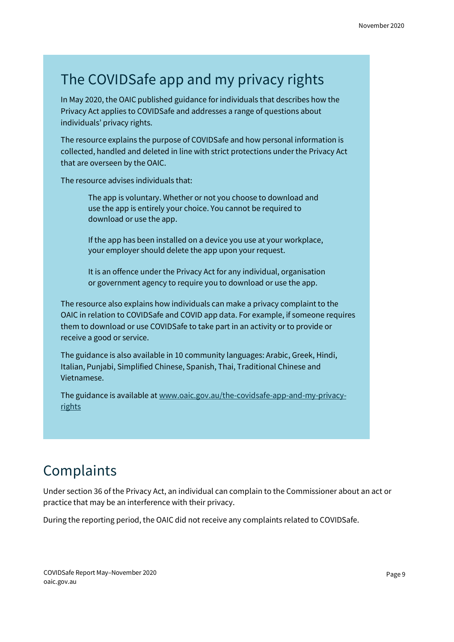## <span id="page-9-3"></span><span id="page-9-0"></span>The COVIDSafe app and my privacy rights

In May 2020, the OAIC published guidance for individuals that describes how the Privacy Act applies to COVIDSafe and addresses a range of questions about individuals' privacy rights.

The resource explains the purpose of COVIDSafe and how personal information is collected, handled and deleted in line with strict protections under the Privacy Act that are overseen by the OAIC.

The resource advises individuals that:

The app is voluntary. Whether or not you choose to download and use the app is entirely your choice. You cannot be required to download or use the app.

If the app has been installed on a device you use at your workplace, your employer should delete the app upon your request.

It is an offence under the Privacy Act for any individual, organisation or government agency to require you to download or use the app.

The resource also explains how individuals can make a privacy complaint to the OAIC in relation to COVIDSafe and COVID app data. For example, if someone requires them to download or use COVIDSafe to take part in an activity or to provide or receive a good or service.

The guidance is also available in 10 community languages: Arabic, Greek, Hindi, Italian, Punjabi, Simplified Chinese, Spanish, Thai, Traditional Chinese and Vietnamese.

The guidance is available a[t www.oaic.gov.au/the-covidsafe-app-and-my-privacy](www.oaic.gov.au/the-covidsafe-app-and-my-privacy-rights)rights

# <span id="page-9-1"></span>Complaints

Under section 36 of the Privacy Act, an individual can complain to the Commissioner about an act or practice that may be an interference with their privacy.

<span id="page-9-2"></span>During the reporting period, the OAIC did not receive any complaints related to COVIDSafe.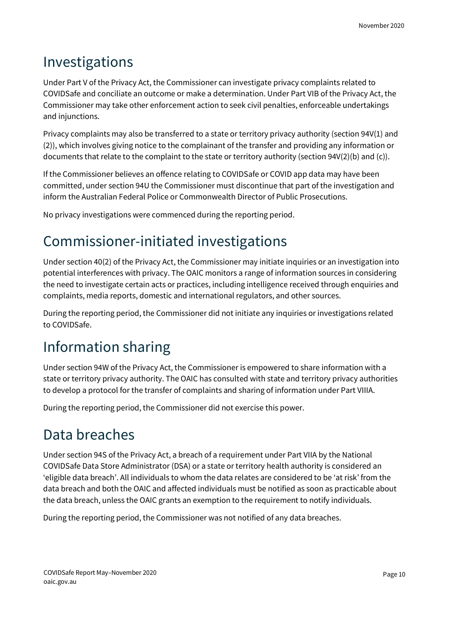## Investigations

Under Part V of the Privacy Act, the Commissioner can investigate privacy complaints related to COVIDSafe and conciliate an outcome or make a determination. Under Part VIB of the Privacy Act, the Commissioner may take other enforcement action to seek civil penalties, enforceable undertakings and injunctions.

Privacy complaints may also be transferred to a state or territory privacy authority (section 94V(1) and (2)), which involves giving notice to the complainant of the transfer and providing any information or documents that relate to the complaint to the state or territory authority (section 94V(2)(b) and (c)).

If the Commissioner believes an offence relating to COVIDSafe or COVID app data may have been committed, under section 94U the Commissioner must discontinue that part of the investigation and inform the Australian Federal Police or Commonwealth Director of Public Prosecutions.

No privacy investigations were commenced during the reporting period.

# <span id="page-10-0"></span>Commissioner-initiated investigations

Under section 40(2) of the Privacy Act, the Commissioner may initiate inquiries or an investigation into potential interferences with privacy. The OAIC monitors a range of information sources in considering the need to investigate certain acts or practices, including intelligence received through enquiries and complaints, media reports, domestic and international regulators, and other sources.

During the reporting period, the Commissioner did not initiate any inquiries or investigations related to COVIDSafe.

# <span id="page-10-1"></span>Information sharing

Under section 94W of the Privacy Act, the Commissioner is empowered to share information with a state or territory privacy authority. The OAIC has consulted with state and territory privacy authorities to develop a protocol for the transfer of complaints and sharing of information under Part VIIIA.

<span id="page-10-2"></span>During the reporting period, the Commissioner did not exercise this power.

## Data breaches

Under section 94S of the Privacy Act, a breach of a requirement under Part VIIA by the National COVIDSafe Data Store Administrator (DSA) or a state or territory health authority is considered an 'eligible data breach'. All individuals to whom the data relates are considered to be 'at risk' from the data breach and both the OAIC and affected individuals must be notified as soon as practicable about the data breach, unless the OAIC grants an exemption to the requirement to notify individuals.

During the reporting period, the Commissioner was not notified of any data breaches.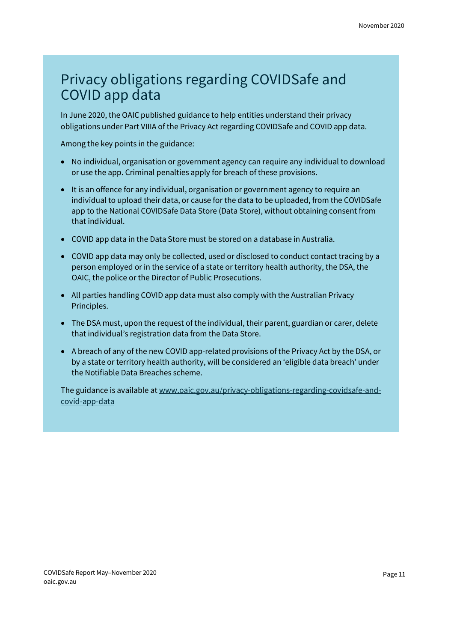## <span id="page-11-1"></span><span id="page-11-0"></span>Privacy obligations regarding COVIDSafe and COVID app data

In June 2020, the OAIC published guidance to help entities understand their privacy obligations under Part VIIIA of the Privacy Act regarding COVIDSafe and COVID app data.

Among the key points in the guidance:

- No individual, organisation or government agency can require any individual to download or use the app. Criminal penalties apply for breach of these provisions.
- It is an offence for any individual, organisation or government agency to require an individual to upload their data, or cause for the data to be uploaded, from the COVIDSafe app to the National COVIDSafe Data Store (Data Store), without obtaining consent from that individual.
- COVID app data in the Data Store must be stored on a database in Australia.
- COVID app data may only be collected, used or disclosed to conduct contact tracing by a person employed or in the service of a state or territory health authority, the DSA, the OAIC, the police or the Director of Public Prosecutions.
- All parties handling COVID app data must also comply with the Australian Privacy Principles.
- The DSA must, upon the request of the individual, their parent, guardian or carer, delete that individual's registration data from the Data Store.
- A breach of any of the new COVID app-related provisions of the Privacy Act by the DSA, or by a state or territory health authority, will be considered an 'eligible data breach' under the Notifiable Data Breaches scheme.

The guidance is available a[t www.oaic.gov.au/privacy-obligations-regarding-covidsafe-and](http://www.oaic.gov.au/privacy-obligations-regarding-covidsafe-and-covid-app-data)[covid-app-data](http://www.oaic.gov.au/privacy-obligations-regarding-covidsafe-and-covid-app-data)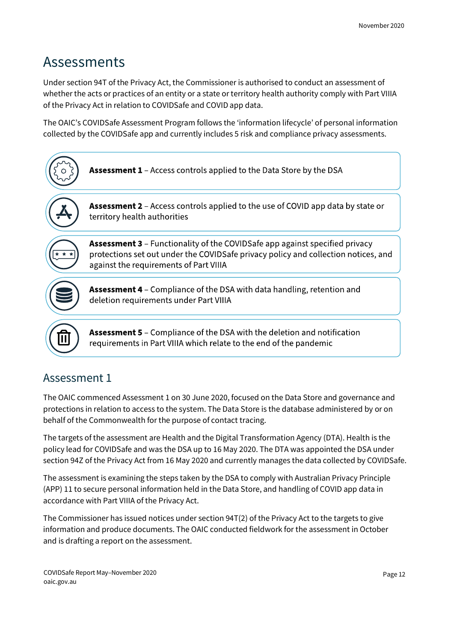### <span id="page-12-0"></span>Assessments

Under section 94T of the Privacy Act, the Commissioner is authorised to conduct an assessment of whether the acts or practices of an entity or a state or territory health authority comply with Part VIIIA of the Privacy Act in relation to COVIDSafe and COVID app data.

The OAIC's COVIDSafe Assessment Program follows the 'information lifecycle' of personal information collected by the COVIDSafe app and currently includes 5 risk and compliance privacy assessments.



requirements in Part VIIIA which relate to the end of the pandemic

### Assessment 1

The OAIC commenced Assessment 1 on 30 June 2020, focused on the Data Store and governance and protections in relation to access to the system. The Data Store is the database administered by or on behalf of the Commonwealth for the purpose of contact tracing.

The targets of the assessment are Health and the Digital Transformation Agency (DTA). Health is the policy lead for COVIDSafe and was the DSA up to 16 May 2020. The DTA was appointed the DSA under section 94Z of the Privacy Act from 16 May 2020 and currently manages the data collected by COVIDSafe.

The assessment is examining the steps taken by the DSA to comply with Australian Privacy Principle (APP) 11 to secure personal information held in the Data Store, and handling of COVID app data in accordance with Part VIIIA of the Privacy Act.

The Commissioner has issued notices under section 94T(2) of the Privacy Act to the targets to give information and produce documents. The OAIC conducted fieldwork for the assessment in October and is drafting a report on the assessment.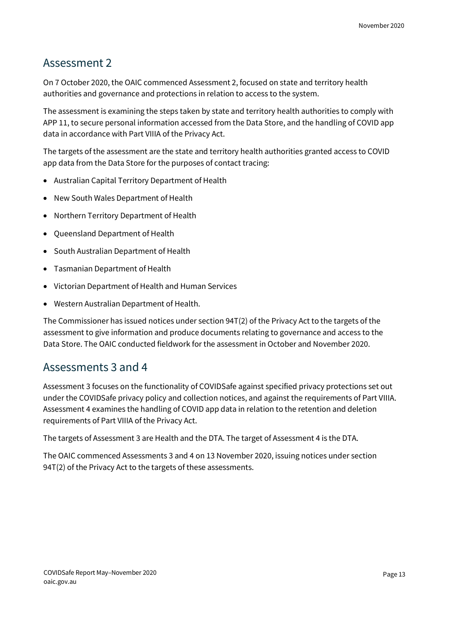### Assessment 2

On 7 October 2020, the OAIC commenced Assessment 2, focused on state and territory health authorities and governance and protections in relation to access to the system.

The assessment is examining the steps taken by state and territory health authorities to comply with APP 11, to secure personal information accessed from the Data Store, and the handling of COVID app data in accordance with Part VIIIA of the Privacy Act.

The targets of the assessment are the state and territory health authorities granted access to COVID app data from the Data Store for the purposes of contact tracing:

- Australian Capital Territory Department of Health
- New South Wales Department of Health
- Northern Territory Department of Health
- Queensland Department of Health
- South Australian Department of Health
- Tasmanian Department of Health
- Victorian Department of Health and Human Services
- Western Australian Department of Health.

The Commissioner has issued notices under section 94T(2) of the Privacy Act to the targets of the assessment to give information and produce documents relating to governance and access to the Data Store. The OAIC conducted fieldwork for the assessment in October and November 2020.

### Assessments 3 and 4

Assessment 3 focuses on the functionality of COVIDSafe against specified privacy protections set out under the COVIDSafe privacy policy and collection notices, and against the requirements of Part VIIIA. Assessment 4 examines the handling of COVID app data in relation to the retention and deletion requirements of Part VIIIA of the Privacy Act.

The targets of Assessment 3 are Health and the DTA. The target of Assessment 4 is the DTA.

The OAIC commenced Assessments 3 and 4 on 13 November 2020, issuing notices under section 94T(2) of the Privacy Act to the targets of these assessments.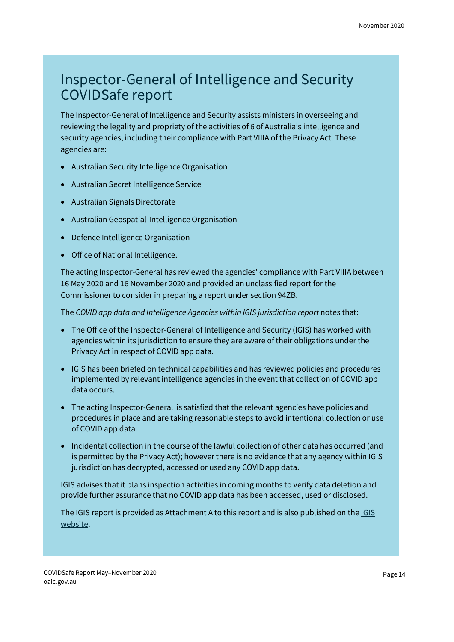## <span id="page-14-0"></span>Inspector-General of Intelligence and Security COVIDSafe report

The Inspector-General of Intelligence and Security assists ministers in overseeing and reviewing the legality and propriety of the activities of 6 of Australia's intelligence and security agencies, including their compliance with Part VIIIA of the Privacy Act. These agencies are:

- Australian Security Intelligence Organisation
- Australian Secret Intelligence Service
- Australian Signals Directorate
- Australian Geospatial-Intelligence Organisation
- Defence Intelligence Organisation
- Office of National Intelligence.

The acting Inspector-General has reviewed the agencies' compliance with Part VIIIA between 16 May 2020 and 16 November 2020 and provided an unclassified report for the Commissioner to consider in preparing a report under section 94ZB.

The *COVID app data and Intelligence Agencies within IGIS jurisdiction report* notes that:

- The Office of the Inspector-General of Intelligence and Security (IGIS) has worked with agencies within its jurisdiction to ensure they are aware of their obligations under the Privacy Act in respect of COVID app data.
- IGIS has been briefed on technical capabilities and has reviewed policies and procedures implemented by relevant intelligence agencies in the event that collection of COVID app data occurs.
- The acting Inspector-General is satisfied that the relevant agencies have policies and procedures in place and are taking reasonable steps to avoid intentional collection or use of COVID app data.
- Incidental collection in the course of the lawful collection of other data has occurred (and is permitted by the Privacy Act); however there is no evidence that any agency within IGIS jurisdiction has decrypted, accessed or used any COVID app data.

IGIS advises that it plans inspection activities in coming months to verify data deletion and provide further assurance that no COVID app data has been accessed, used or disclosed.

Th[e IGIS](https://www.igis.gov.au/) report is provided as Attachment A to this report and is also published on the IGIS [website.](https://www.igis.gov.au/)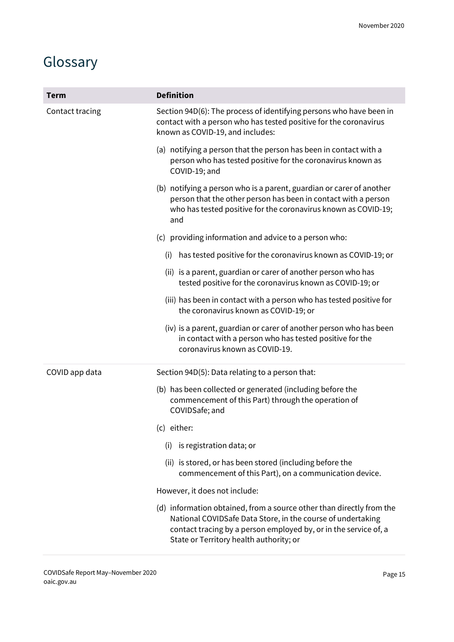# <span id="page-15-0"></span>Glossary

| <b>Term</b>     | <b>Definition</b>                                                                                                                                                                                                                                  |
|-----------------|----------------------------------------------------------------------------------------------------------------------------------------------------------------------------------------------------------------------------------------------------|
| Contact tracing | Section 94D(6): The process of identifying persons who have been in<br>contact with a person who has tested positive for the coronavirus<br>known as COVID-19, and includes:                                                                       |
|                 | (a) notifying a person that the person has been in contact with a<br>person who has tested positive for the coronavirus known as<br>COVID-19; and                                                                                                  |
|                 | (b) notifying a person who is a parent, guardian or carer of another<br>person that the other person has been in contact with a person<br>who has tested positive for the coronavirus known as COVID-19;<br>and                                    |
|                 | (c) providing information and advice to a person who:                                                                                                                                                                                              |
|                 | has tested positive for the coronavirus known as COVID-19; or<br>(i)                                                                                                                                                                               |
|                 | (ii) is a parent, guardian or carer of another person who has<br>tested positive for the coronavirus known as COVID-19; or                                                                                                                         |
|                 | (iii) has been in contact with a person who has tested positive for<br>the coronavirus known as COVID-19; or                                                                                                                                       |
|                 | (iv) is a parent, guardian or carer of another person who has been<br>in contact with a person who has tested positive for the<br>coronavirus known as COVID-19.                                                                                   |
| COVID app data  | Section 94D(5): Data relating to a person that:                                                                                                                                                                                                    |
|                 | (b) has been collected or generated (including before the<br>commencement of this Part) through the operation of<br>COVIDSafe; and                                                                                                                 |
|                 | (c) either:                                                                                                                                                                                                                                        |
|                 | is registration data; or<br>(i)                                                                                                                                                                                                                    |
|                 | (ii) is stored, or has been stored (including before the<br>commencement of this Part), on a communication device.                                                                                                                                 |
|                 | However, it does not include:                                                                                                                                                                                                                      |
|                 | (d) information obtained, from a source other than directly from the<br>National COVIDSafe Data Store, in the course of undertaking<br>contact tracing by a person employed by, or in the service of, a<br>State or Territory health authority; or |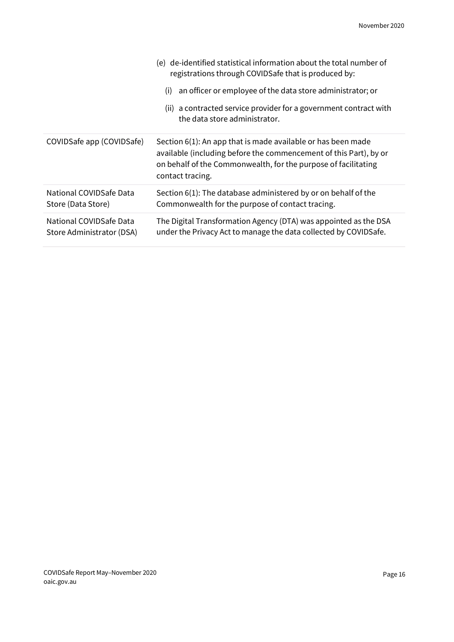|                                                      | (e) de-identified statistical information about the total number of<br>registrations through COVIDSafe that is produced by:                                                                                             |
|------------------------------------------------------|-------------------------------------------------------------------------------------------------------------------------------------------------------------------------------------------------------------------------|
|                                                      | an officer or employee of the data store administrator; or<br>(i)                                                                                                                                                       |
|                                                      | (ii) a contracted service provider for a government contract with<br>the data store administrator.                                                                                                                      |
| COVIDSafe app (COVIDSafe)                            | Section 6(1): An app that is made available or has been made<br>available (including before the commencement of this Part), by or<br>on behalf of the Commonwealth, for the purpose of facilitating<br>contact tracing. |
| National COVIDSafe Data<br>Store (Data Store)        | Section 6(1): The database administered by or on behalf of the<br>Commonwealth for the purpose of contact tracing.                                                                                                      |
| National COVIDSafe Data<br>Store Administrator (DSA) | The Digital Transformation Agency (DTA) was appointed as the DSA<br>under the Privacy Act to manage the data collected by COVIDSafe.                                                                                    |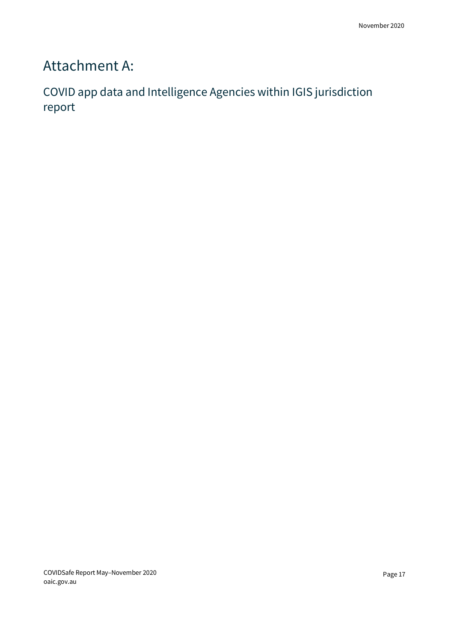# <span id="page-17-0"></span>Attachment A:

### COVID app data and Intelligence Agencies within IGIS jurisdiction report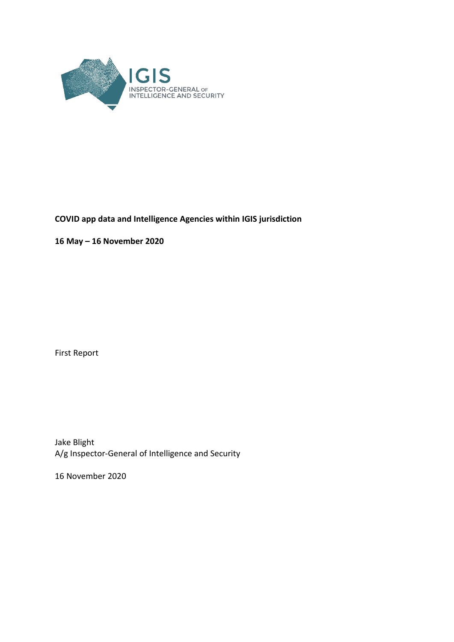

### **COVID app data and Intelligence Agencies within IGIS jurisdiction**

**16 May – 16 November 2020** 

First Report

Jake Blight A/g Inspector-General of Intelligence and Security

16 November 2020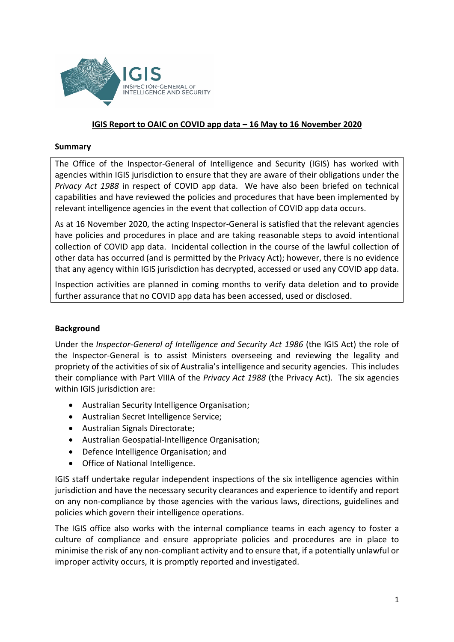

#### **IGIS Report to OAIC on COVID app data – 16 May to 16 November 2020**

#### **Summary**

The Office of the Inspector-General of Intelligence and Security (IGIS) has worked with agencies within IGIS jurisdiction to ensure that they are aware of their obligations under the *Privacy Act 1988* in respect of COVID app data. We have also been briefed on technical capabilities and have reviewed the policies and procedures that have been implemented by relevant intelligence agencies in the event that collection of COVID app data occurs.

As at 16 November 2020, the acting Inspector-General is satisfied that the relevant agencies have policies and procedures in place and are taking reasonable steps to avoid intentional collection of COVID app data. Incidental collection in the course of the lawful collection of other data has occurred (and is permitted by the Privacy Act); however, there is no evidence that any agency within IGIS jurisdiction has decrypted, accessed or used any COVID app data.

Inspection activities are planned in coming months to verify data deletion and to provide further assurance that no COVID app data has been accessed, used or disclosed.

#### **Background**

Under the *Inspector-General of Intelligence and Security Act 1986* (the IGIS Act) the role of the Inspector-General is to assist Ministers overseeing and reviewing the legality and propriety of the activities of six of Australia's intelligence and security agencies. This includes their compliance with Part VIIIA of the *Privacy Act 1988* (the Privacy Act). The six agencies within IGIS jurisdiction are:

- Australian Security Intelligence Organisation;
- Australian Secret Intelligence Service;
- Australian Signals Directorate;
- Australian Geospatial-Intelligence Organisation;
- Defence Intelligence Organisation; and
- Office of National Intelligence.

IGIS staff undertake regular independent inspections of the six intelligence agencies within jurisdiction and have the necessary security clearances and experience to identify and report on any non-compliance by those agencies with the various laws, directions, guidelines and policies which govern their intelligence operations.

The IGIS office also works with the internal compliance teams in each agency to foster a culture of compliance and ensure appropriate policies and procedures are in place to minimise the risk of any non-compliant activity and to ensure that, if a potentially unlawful or improper activity occurs, it is promptly reported and investigated.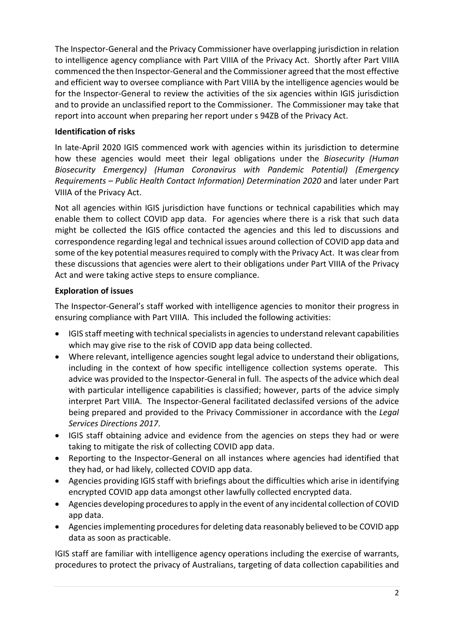The Inspector-General and the Privacy Commissioner have overlapping jurisdiction in relation to intelligence agency compliance with Part VIIIA of the Privacy Act. Shortly after Part VIIIA commenced the then Inspector-General and the Commissioner agreed that the most effective and efficient way to oversee compliance with Part VIIIA by the intelligence agencies would be for the Inspector-General to review the activities of the six agencies within IGIS jurisdiction and to provide an unclassified report to the Commissioner. The Commissioner may take that report into account when preparing her report under s 94ZB of the Privacy Act.

#### **Identification of risks**

In late-April 2020 IGIS commenced work with agencies within its jurisdiction to determine how these agencies would meet their legal obligations under the *Biosecurity (Human Biosecurity Emergency) (Human Coronavirus with Pandemic Potential) (Emergency Requirements – Public Health Contact Information) Determination 2020* and later under Part VIIIA of the Privacy Act.

Not all agencies within IGIS jurisdiction have functions or technical capabilities which may enable them to collect COVID app data. For agencies where there is a risk that such data might be collected the IGIS office contacted the agencies and this led to discussions and correspondence regarding legal and technical issues around collection of COVID app data and some of the key potential measures required to comply with the Privacy Act. It was clear from these discussions that agencies were alert to their obligations under Part VIIIA of the Privacy Act and were taking active steps to ensure compliance.

### **Exploration of issues**

The Inspector-General's staff worked with intelligence agencies to monitor their progress in ensuring compliance with Part VIIIA. This included the following activities:

- IGIS staff meeting with technical specialists in agencies to understand relevant capabilities which may give rise to the risk of COVID app data being collected.
- Where relevant, intelligence agencies sought legal advice to understand their obligations, including in the context of how specific intelligence collection systems operate. This advice was provided to the Inspector-General in full. The aspects of the advice which deal with particular intelligence capabilities is classified; however, parts of the advice simply interpret Part VIIIA. The Inspector-General facilitated declassifed versions of the advice being prepared and provided to the Privacy Commissioner in accordance with the *Legal Services Directions 2017*.
- IGIS staff obtaining advice and evidence from the agencies on steps they had or were taking to mitigate the risk of collecting COVID app data.
- Reporting to the Inspector-General on all instances where agencies had identified that they had, or had likely, collected COVID app data.
- Agencies providing IGIS staff with briefings about the difficulties which arise in identifying encrypted COVID app data amongst other lawfully collected encrypted data.
- Agencies developing procedures to apply in the event of any incidental collection of COVID app data.
- Agencies implementing procedures for deleting data reasonably believed to be COVID app data as soon as practicable.

IGIS staff are familiar with intelligence agency operations including the exercise of warrants, procedures to protect the privacy of Australians, targeting of data collection capabilities and